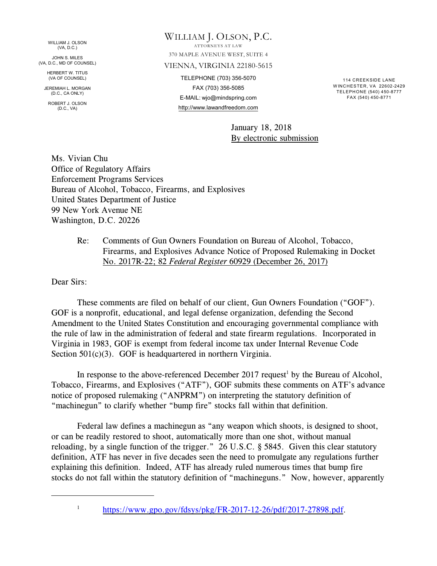WILLIAM J. OLSON (VA, D.C.)

JOHN S. MILES (VA, D.C., MD OF COUNSEL)

HERBERT W. TITUS (VA OF COUNSEL)

JEREMIAH L. MORGAN (D.C., CA ONLY)

ROBERT J. OLSON (D.C., VA)

# WILLIAM J. OLSON, P.C. ATTORNEYS AT LAW 370 MAPLE AVENUE WEST, SUITE 4 VIENNA, VIRGINIA 22180-5615 TELEPHONE (703) 356-5070 FAX (703) 356-5085 E-MAIL: wjo@mindspring.com http://www.lawandfreedom.com

114 CREEKSIDE LANE W INCHESTER, VA 22602-2429 TELEPHONE (540) 450-8777 FAX (540) 450-8771

January 18, 2018 By electronic submission

Ms. Vivian Chu Office of Regulatory Affairs Enforcement Programs Services Bureau of Alcohol, Tobacco, Firearms, and Explosives United States Department of Justice 99 New York Avenue NE Washington, D.C. 20226

> Re: Comments of Gun Owners Foundation on Bureau of Alcohol, Tobacco, Firearms, and Explosives Advance Notice of Proposed Rulemaking in Docket No. 2017R-22; 82 *Federal Register* 60929 (December 26, 2017)

Dear Sirs:

These comments are filed on behalf of our client, Gun Owners Foundation ("GOF"). GOF is a nonprofit, educational, and legal defense organization, defending the Second Amendment to the United States Constitution and encouraging governmental compliance with the rule of law in the administration of federal and state firearm regulations. Incorporated in Virginia in 1983, GOF is exempt from federal income tax under Internal Revenue Code Section 501(c)(3). GOF is headquartered in northern Virginia.

In response to the above-referenced December 2017 request<sup>1</sup> by the Bureau of Alcohol, Tobacco, Firearms, and Explosives ("ATF"), GOF submits these comments on ATF's advance notice of proposed rulemaking ("ANPRM") on interpreting the statutory definition of "machinegun" to clarify whether "bump fire" stocks fall within that definition.

Federal law defines a machinegun as "any weapon which shoots, is designed to shoot, or can be readily restored to shoot, automatically more than one shot, without manual reloading, by a single function of the trigger." 26 U.S.C. § 5845. Given this clear statutory definition, ATF has never in five decades seen the need to promulgate any regulations further explaining this definition. Indeed, ATF has already ruled numerous times that bump fire stocks do not fall within the statutory definition of "machineguns." Now, however, apparently

<sup>1</sup>

<https://www.gpo.gov/fdsys/pkg/FR-2017-12-26/pdf/2017-27898.pdf>.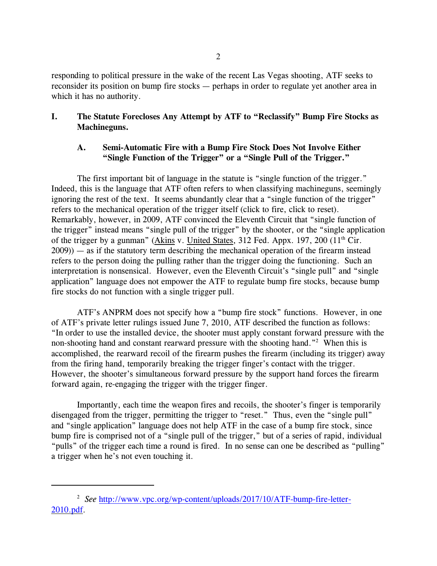responding to political pressure in the wake of the recent Las Vegas shooting, ATF seeks to reconsider its position on bump fire stocks — perhaps in order to regulate yet another area in which it has no authority.

## **I. The Statute Forecloses Any Attempt by ATF to "Reclassify" Bump Fire Stocks as Machineguns.**

## **A. Semi-Automatic Fire with a Bump Fire Stock Does Not Involve Either "Single Function of the Trigger" or a "Single Pull of the Trigger."**

The first important bit of language in the statute is "single function of the trigger." Indeed, this is the language that ATF often refers to when classifying machineguns, seemingly ignoring the rest of the text. It seems abundantly clear that a "single function of the trigger" refers to the mechanical operation of the trigger itself (click to fire, click to reset). Remarkably, however, in 2009, ATF convinced the Eleventh Circuit that "single function of the trigger" instead means "single pull of the trigger" by the shooter, or the "single application of the trigger by a gunman" (Akins v. United States, 312 Fed. Appx. 197, 200 (11<sup>th</sup> Cir. 2009)) — as if the statutory term describing the mechanical operation of the firearm instead refers to the person doing the pulling rather than the trigger doing the functioning. Such an interpretation is nonsensical. However, even the Eleventh Circuit's "single pull" and "single application" language does not empower the ATF to regulate bump fire stocks, because bump fire stocks do not function with a single trigger pull.

ATF's ANPRM does not specify how a "bump fire stock" functions. However, in one of ATF's private letter rulings issued June 7, 2010, ATF described the function as follows: "In order to use the installed device, the shooter must apply constant forward pressure with the non-shooting hand and constant rearward pressure with the shooting hand."<sup>2</sup> When this is accomplished, the rearward recoil of the firearm pushes the firearm (including its trigger) away from the firing hand, temporarily breaking the trigger finger's contact with the trigger. However, the shooter's simultaneous forward pressure by the support hand forces the firearm forward again, re-engaging the trigger with the trigger finger.

Importantly, each time the weapon fires and recoils, the shooter's finger is temporarily disengaged from the trigger, permitting the trigger to "reset." Thus, even the "single pull" and "single application" language does not help ATF in the case of a bump fire stock, since bump fire is comprised not of a "single pull of the trigger," but of a series of rapid, individual "pulls" of the trigger each time a round is fired. In no sense can one be described as "pulling" a trigger when he's not even touching it.

<sup>&</sup>lt;sup>2</sup> See [http://www.vpc.org/wp-content/uploads/2017/10/ATF-bump-fire-letter-](http://www.vpc.org/wp-content/uploads/2017/10/ATF-bump-fire-letter-2010.pdf)[2010.pdf](http://www.vpc.org/wp-content/uploads/2017/10/ATF-bump-fire-letter-2010.pdf).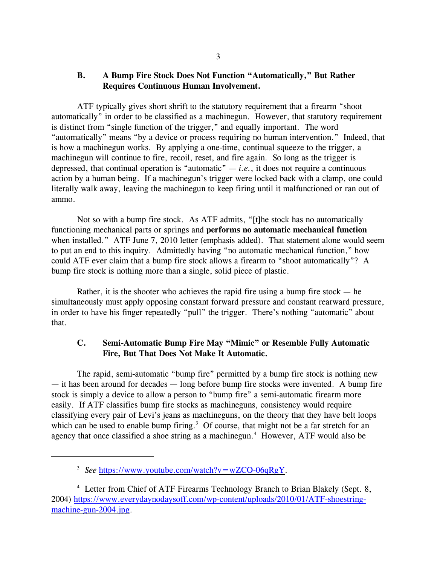## **B. A Bump Fire Stock Does Not Function "Automatically," But Rather Requires Continuous Human Involvement.**

ATF typically gives short shrift to the statutory requirement that a firearm "shoot automatically" in order to be classified as a machinegun. However, that statutory requirement is distinct from "single function of the trigger," and equally important. The word "automatically" means "by a device or process requiring no human intervention." Indeed, that is how a machinegun works. By applying a one-time, continual squeeze to the trigger, a machinegun will continue to fire, recoil, reset, and fire again. So long as the trigger is depressed, that continual operation is "automatic"  $-i.e.,$  it does not require a continuous action by a human being. If a machinegun's trigger were locked back with a clamp, one could literally walk away, leaving the machinegun to keep firing until it malfunctioned or ran out of ammo.

Not so with a bump fire stock. As ATF admits, "[t]he stock has no automatically functioning mechanical parts or springs and **performs no automatic mechanical function** when installed." ATF June 7, 2010 letter (emphasis added). That statement alone would seem to put an end to this inquiry. Admittedly having "no automatic mechanical function," how could ATF ever claim that a bump fire stock allows a firearm to "shoot automatically"? A bump fire stock is nothing more than a single, solid piece of plastic.

Rather, it is the shooter who achieves the rapid fire using a bump fire stock  $-$  he simultaneously must apply opposing constant forward pressure and constant rearward pressure, in order to have his finger repeatedly "pull" the trigger. There's nothing "automatic" about that.

# **C. Semi-Automatic Bump Fire May "Mimic" or Resemble Fully Automatic Fire, But That Does Not Make It Automatic.**

The rapid, semi-automatic "bump fire" permitted by a bump fire stock is nothing new — it has been around for decades — long before bump fire stocks were invented. A bump fire stock is simply a device to allow a person to "bump fire" a semi-automatic firearm more easily. If ATF classifies bump fire stocks as machineguns, consistency would require classifying every pair of Levi's jeans as machineguns, on the theory that they have belt loops which can be used to enable bump firing.<sup>3</sup> Of course, that might not be a far stretch for an agency that once classified a shoe string as a machinegun. $4$  However, ATF would also be

<sup>&</sup>lt;sup>3</sup> See <https://www.youtube.com/watch?v=wZCO-06qRgY>.

<sup>&</sup>lt;sup>4</sup> Letter from Chief of ATF Firearms Technology Branch to Brian Blakely (Sept. 8, 2004) [https://www.everydaynodaysoff.com/wp-content/uploads/2010/01/ATF-shoestring](https://www.everydaynodaysoff.com/wp-content/uploads/2010/01/ATF-shoestring-machine-gun-2004.jpg)[machine-gun-2004.jpg](https://www.everydaynodaysoff.com/wp-content/uploads/2010/01/ATF-shoestring-machine-gun-2004.jpg).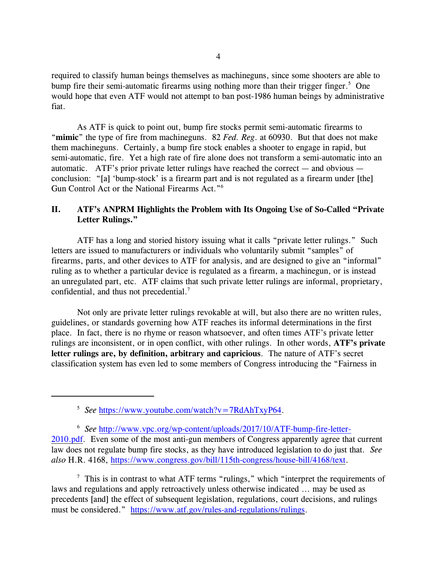required to classify human beings themselves as machineguns, since some shooters are able to bump fire their semi-automatic firearms using nothing more than their trigger finger.<sup>5</sup> One would hope that even ATF would not attempt to ban post-1986 human beings by administrative fiat.

As ATF is quick to point out, bump fire stocks permit semi-automatic firearms to "**mimic**" the type of fire from machineguns. 82 *Fed. Reg*. at 60930. But that does not make them machineguns. Certainly, a bump fire stock enables a shooter to engage in rapid, but semi-automatic, fire. Yet a high rate of fire alone does not transform a semi-automatic into an automatic. ATF's prior private letter rulings have reached the correct  $-$  and obvious  $$ conclusion: "[a] 'bump-stock' is a firearm part and is not regulated as a firearm under [the] Gun Control Act or the National Firearms Act."<sup>6</sup>

## **II. ATF's ANPRM Highlights the Problem with Its Ongoing Use of So-Called "Private Letter Rulings."**

ATF has a long and storied history issuing what it calls "private letter rulings." Such letters are issued to manufacturers or individuals who voluntarily submit "samples" of firearms, parts, and other devices to ATF for analysis, and are designed to give an "informal" ruling as to whether a particular device is regulated as a firearm, a machinegun, or is instead an unregulated part, etc. ATF claims that such private letter rulings are informal, proprietary, confidential, and thus not precedential.<sup>7</sup>

Not only are private letter rulings revokable at will, but also there are no written rules, guidelines, or standards governing how ATF reaches its informal determinations in the first place. In fact, there is no rhyme or reason whatsoever, and often times ATF's private letter rulings are inconsistent, or in open conflict, with other rulings. In other words, **ATF's private letter rulings are, by definition, arbitrary and capricious**. The nature of ATF's secret classification system has even led to some members of Congress introducing the "Fairness in

<sup>6</sup> See [http://www.vpc.org/wp-content/uploads/2017/10/ATF-bump-fire-letter-](http://www.vpc.org/wp-content/uploads/2017/10/ATF-bump-fire-letter-2010.pdf)[2010.pdf](http://www.vpc.org/wp-content/uploads/2017/10/ATF-bump-fire-letter-2010.pdf). Even some of the most anti-gun members of Congress apparently agree that current law does not regulate bump fire stocks, as they have introduced legislation to do just that. *See also* H.R. 4168,<https://www.congress.gov/bill/115th-congress/house-bill/4168/text>.

 $\frac{7}{7}$  This is in contrast to what ATF terms "rulings," which "interpret the requirements of laws and regulations and apply retroactively unless otherwise indicated ... may be used as precedents [and] the effect of subsequent legislation, regulations, court decisions, and rulings must be considered." <https://www.atf.gov/rules-and-regulations/rulings>.

<sup>&</sup>lt;sup>5</sup> See <https://www.youtube.com/watch?v=7RdAhTxyP64>.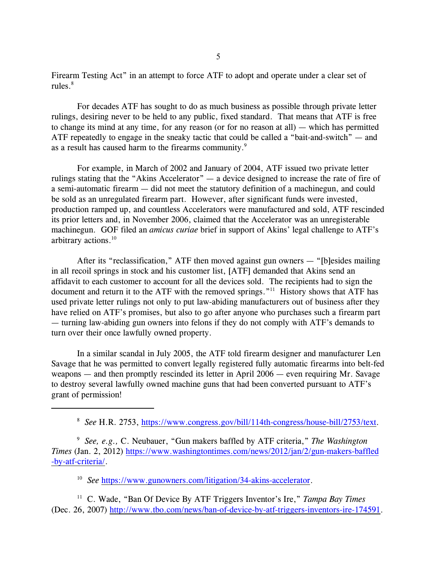Firearm Testing Act" in an attempt to force ATF to adopt and operate under a clear set of rules $8<sup>8</sup>$ 

For decades ATF has sought to do as much business as possible through private letter rulings, desiring never to be held to any public, fixed standard. That means that ATF is free to change its mind at any time, for any reason (or for no reason at all) — which has permitted ATF repeatedly to engage in the sneaky tactic that could be called a "bait-and-switch" — and as a result has caused harm to the firearms community.<sup>9</sup>

For example, in March of 2002 and January of 2004, ATF issued two private letter rulings stating that the "Akins Accelerator" — a device designed to increase the rate of fire of a semi-automatic firearm — did not meet the statutory definition of a machinegun, and could be sold as an unregulated firearm part. However, after significant funds were invested, production ramped up, and countless Accelerators were manufactured and sold, ATF rescinded its prior letters and, in November 2006, claimed that the Accelerator was an unregisterable machinegun. GOF filed an *amicus curiae* brief in support of Akins' legal challenge to ATF's arbitrary actions.<sup>10</sup>

After its "reclassification," ATF then moved against gun owners — "[b]esides mailing in all recoil springs in stock and his customer list, [ATF] demanded that Akins send an affidavit to each customer to account for all the devices sold. The recipients had to sign the document and return it to the ATF with the removed springs."<sup>11</sup> History shows that ATF has used private letter rulings not only to put law-abiding manufacturers out of business after they have relied on ATF's promises, but also to go after anyone who purchases such a firearm part — turning law-abiding gun owners into felons if they do not comply with ATF's demands to turn over their once lawfully owned property.

In a similar scandal in July 2005, the ATF told firearm designer and manufacturer Len Savage that he was permitted to convert legally registered fully automatic firearms into belt-fed weapons — and then promptly rescinded its letter in April 2006 — even requiring Mr. Savage to destroy several lawfully owned machine guns that had been converted pursuant to ATF's grant of permission!

<sup>10</sup> See <https://www.gunowners.com/litigation/34-akins-accelerator>.

<sup>11</sup> C. Wade, "Ban Of Device By ATF Triggers Inventor's Ire," *Tampa Bay Times* (Dec. 26, 2007)<http://www.tbo.com/news/ban-of-device-by-atf-triggers-inventors-ire-174591>.

<sup>&</sup>lt;sup>8</sup> See H.R. 2753, <https://www.congress.gov/bill/114th-congress/house-bill/2753/text>.

<sup>&</sup>lt;sup>9</sup> See, e.g., C. Neubauer, "Gun makers baffled by ATF criteria," The Washington *Times* (Jan. 2, 2012) [https://www.washingtontimes.com/news/2012/jan/2/gun-makers-baffled](https://www.washingtontimes.com/news/2012/jan/2/gun-makers-baffled-by-atf-criteria/) [-by-atf-criteria/](https://www.washingtontimes.com/news/2012/jan/2/gun-makers-baffled-by-atf-criteria/).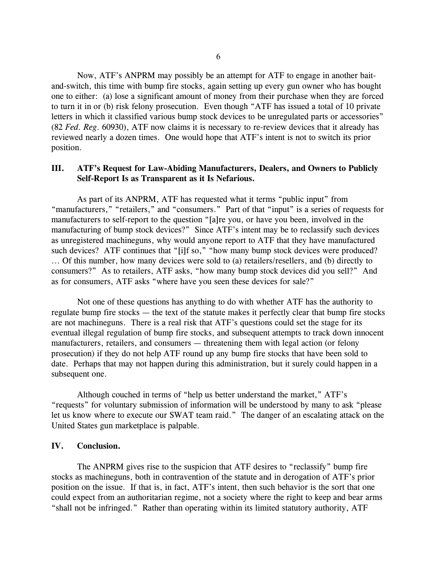Now, ATF's ANPRM may possibly be an attempt for ATF to engage in another baitand-switch, this time with bump fire stocks, again setting up every gun owner who has bought one to either: (a) lose a significant amount of money from their purchase when they are forced to turn it in or (b) risk felony prosecution. Even though "ATF has issued a total of 10 private letters in which it classified various bump stock devices to be unregulated parts or accessories" (82 *Fed. Reg*. 60930), ATF now claims it is necessary to re-review devices that it already has reviewed nearly a dozen times. One would hope that ATF's intent is not to switch its prior position.

#### **III. ATF's Request for Law-Abiding Manufacturers, Dealers, and Owners to Publicly Self-Report Is as Transparent as it Is Nefarious.**

As part of its ANPRM, ATF has requested what it terms "public input" from "manufacturers," "retailers," and "consumers." Part of that "input" is a series of requests for manufacturers to self-report to the question "[a]re you, or have you been, involved in the manufacturing of bump stock devices?" Since ATF's intent may be to reclassify such devices as unregistered machineguns, why would anyone report to ATF that they have manufactured such devices? ATF continues that "[i]f so," "how many bump stock devices were produced? ... Of this number, how many devices were sold to (a) retailers/resellers, and (b) directly to consumers?" As to retailers, ATF asks, "how many bump stock devices did you sell?" And as for consumers, ATF asks "where have you seen these devices for sale?"

Not one of these questions has anything to do with whether ATF has the authority to regulate bump fire stocks — the text of the statute makes it perfectly clear that bump fire stocks are not machineguns. There is a real risk that ATF's questions could set the stage for its eventual illegal regulation of bump fire stocks, and subsequent attempts to track down innocent manufacturers, retailers, and consumers — threatening them with legal action (or felony prosecution) if they do not help ATF round up any bump fire stocks that have been sold to date. Perhaps that may not happen during this administration, but it surely could happen in a subsequent one.

Although couched in terms of "help us better understand the market," ATF's "requests" for voluntary submission of information will be understood by many to ask "please let us know where to execute our SWAT team raid." The danger of an escalating attack on the United States gun marketplace is palpable.

#### **IV. Conclusion.**

The ANPRM gives rise to the suspicion that ATF desires to "reclassify" bump fire stocks as machineguns, both in contravention of the statute and in derogation of ATF's prior position on the issue. If that is, in fact, ATF's intent, then such behavior is the sort that one could expect from an authoritarian regime, not a society where the right to keep and bear arms "shall not be infringed." Rather than operating within its limited statutory authority, ATF